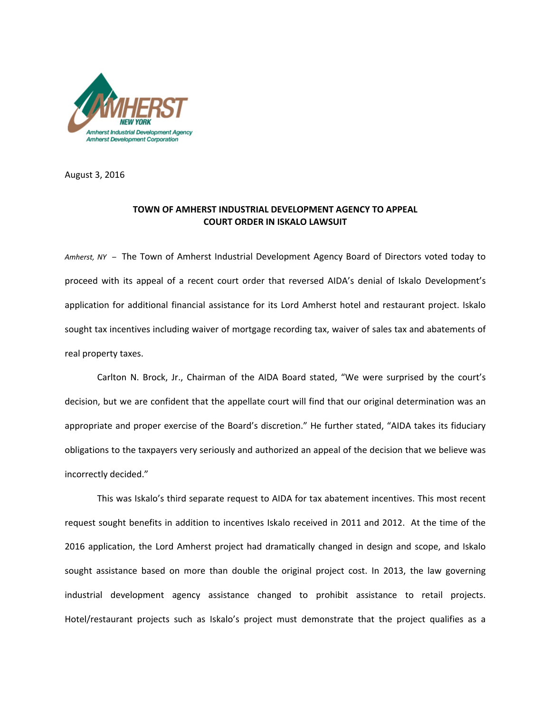

August 3, 2016

## **TOWN OF AMHERST INDUSTRIAL DEVELOPMENT AGENCY TO APPEAL COURT ORDER IN ISKALO LAWSUIT**

*Amherst, NY –* The Town of Amherst Industrial Development Agency Board of Directors voted today to proceed with its appeal of a recent court order that reversed AIDA's denial of Iskalo Development's application for additional financial assistance for its Lord Amherst hotel and restaurant project. Iskalo sought tax incentives including waiver of mortgage recording tax, waiver of sales tax and abatements of real property taxes.

Carlton N. Brock, Jr., Chairman of the AIDA Board stated, "We were surprised by the court's decision, but we are confident that the appellate court will find that our original determination was an appropriate and proper exercise of the Board's discretion." He further stated, "AIDA takes its fiduciary obligations to the taxpayers very seriously and authorized an appeal of the decision that we believe was incorrectly decided."

This was Iskalo's third separate request to AIDA for tax abatement incentives. This most recent request sought benefits in addition to incentives Iskalo received in 2011 and 2012. At the time of the 2016 application, the Lord Amherst project had dramatically changed in design and scope, and Iskalo sought assistance based on more than double the original project cost. In 2013, the law governing industrial development agency assistance changed to prohibit assistance to retail projects. Hotel/restaurant projects such as Iskalo's project must demonstrate that the project qualifies as a